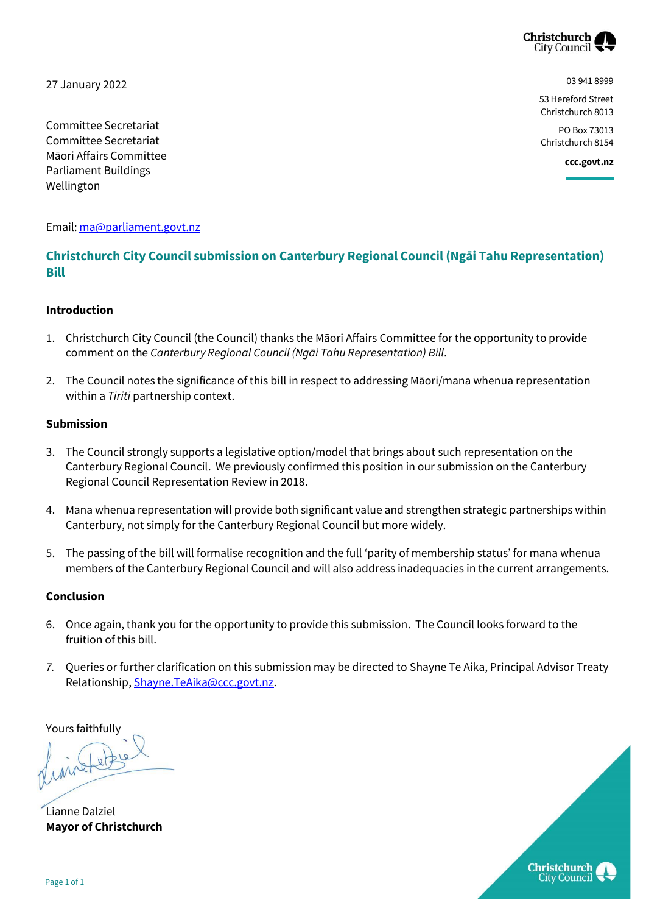

27 January 2022

Committee Secretariat Committee Secretariat Māori Affairs Committee Parliament Buildings Wellington

03 941 8999

53 Hereford Street Christchurch 8013

PO Box 73013 Christchurch 8154

**ccc.govt.nz**

Email[: ma@parliament.govt.nz](mailto:ma@parliament.govt.nz)

# **Christchurch City Council submission on Canterbury Regional Council (Ngāi Tahu Representation) Bill**

#### **Introduction**

- 1. Christchurch City Council (the Council) thanks the Māori Affairs Committee for the opportunity to provide comment on the *Canterbury Regional Council (Ngāi Tahu Representation) Bill.*
- 2. The Council notes the significance of this bill in respect to addressing Māori/mana whenua representation within a *Tiriti* partnership context.

#### **Submission**

- 3. The Council strongly supports a legislative option/model that brings about such representation on the Canterbury Regional Council. We previously confirmed this position in our submission on the Canterbury Regional Council Representation Review in 2018.
- 4. Mana whenua representation will provide both significant value and strengthen strategic partnerships within Canterbury, not simply for the Canterbury Regional Council but more widely.
- 5. The passing of the bill will formalise recognition and the full 'parity of membership status' for mana whenua members of the Canterbury Regional Council and will also address inadequacies in the current arrangements.

#### **Conclusion**

- 6. Once again, thank you for the opportunity to provide this submission. The Council looks forward to the fruition of this bill.
- *7.* Queries or further clarification on this submission may be directed to Shayne Te Aika, Principal Advisor Treaty Relationship[, Shayne.TeAika@ccc.govt.nz.](mailto:Shayne.TeAika@ccc.govt.nz)

Yours faithfully

 $10<sup>h</sup>$ 

Lianne Dalziel **Mayor of Christchurch**